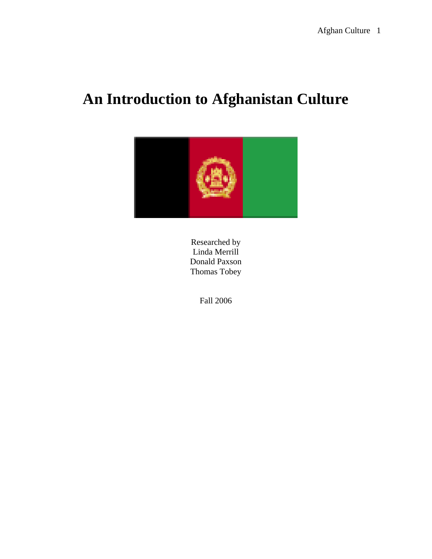# **An Introduction to Afghanistan Culture**



Researched by Linda Merrill Donald Paxson Thomas Tobey

Fall 2006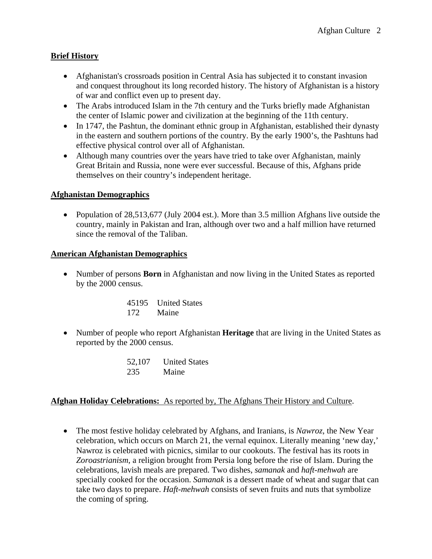## **Brief History**

- Afghanistan's crossroads position in Central Asia has subjected it to constant invasion and conquest throughout its long recorded history. The history of Afghanistan is a history of war and conflict even up to present day.
- The Arabs introduced Islam in the 7th century and the Turks briefly made Afghanistan the center of Islamic power and civilization at the beginning of the 11th century.
- In 1747, the Pashtun, the dominant ethnic group in Afghanistan, established their dynasty in the eastern and southern portions of the country. By the early 1900's, the Pashtuns had effective physical control over all of Afghanistan.
- Although many countries over the years have tried to take over Afghanistan, mainly Great Britain and Russia, none were ever successful. Because of this, Afghans pride themselves on their country's independent heritage.

#### **Afghanistan Demographics**

• Population of 28,513,677 (July 2004 est.). More than 3.5 million Afghans live outside the country, mainly in Pakistan and Iran, although over two and a half million have returned since the removal of the Taliban.

#### **American Afghanistan Demographics**

• Number of persons **Born** in Afghanistan and now living in the United States as reported by the 2000 census.

| 45195 | <b>United States</b> |
|-------|----------------------|
| 172   | Maine                |

• Number of people who report Afghanistan **Heritage** that are living in the United States as reported by the 2000 census.

| 52,107 | <b>United States</b> |
|--------|----------------------|
| 235    | Maine                |

#### **Afghan Holiday Celebrations:** As reported by, The Afghans Their History and Culture.

• The most festive holiday celebrated by Afghans, and Iranians, is *Nawroz*, the New Year celebration, which occurs on March 21, the vernal equinox. Literally meaning 'new day,' Nawroz is celebrated with picnics, similar to our cookouts. The festival has its roots in *Zoroastrianism*, a religion brought from Persia long before the rise of Islam. During the celebrations, lavish meals are prepared. Two dishes, *samanak* and *haft-mehwah* are specially cooked for the occasion. *Samanak* is a dessert made of wheat and sugar that can take two days to prepare. *Haft-mehwah* consists of seven fruits and nuts that symbolize the coming of spring.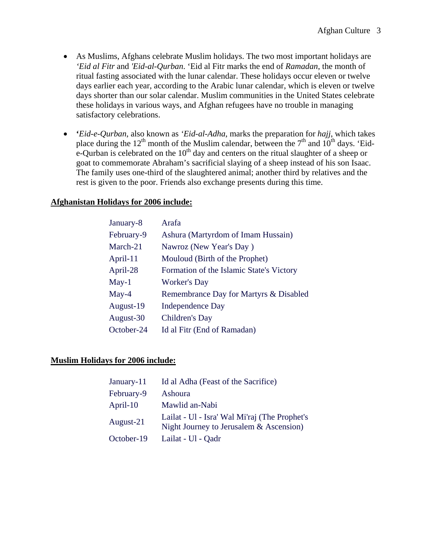- As Muslims, Afghans celebrate Muslim holidays. The two most important holidays are *'Eid al Fitr* and *'Eid-al-Qurban*. 'Eid al Fitr marks the end of *Ramadan*, the month of ritual fasting associated with the lunar calendar. These holidays occur eleven or twelve days earlier each year, according to the Arabic lunar calendar, which is eleven or twelve days shorter than our solar calendar. Muslim communities in the United States celebrate these holidays in various ways, and Afghan refugees have no trouble in managing satisfactory celebrations.
- **'***Eid-e-Qurban*, also known as *'Eid-al-Adha*, marks the preparation for *hajj*, which takes place during the 12<sup>th</sup> month of the Muslim calendar, between the  $7<sup>th</sup>$  and  $10<sup>th</sup>$  days. 'Eide-Qurban is celebrated on the  $10<sup>th</sup>$  day and centers on the ritual slaughter of a sheep or goat to commemorate Abraham's sacrificial slaying of a sheep instead of his son Isaac. The family uses one-third of the slaughtered animal; another third by relatives and the rest is given to the poor. Friends also exchange presents during this time.

#### **Afghanistan Holidays for 2006 include:**

| January-8  | Arafa                                    |
|------------|------------------------------------------|
| February-9 | Ashura (Martyrdom of Imam Hussain)       |
| March-21   | Nawroz (New Year's Day)                  |
| April-11   | Mouloud (Birth of the Prophet)           |
| April-28   | Formation of the Islamic State's Victory |
| $May-1$    | <b>Worker's Day</b>                      |
| $May-4$    | Remembrance Day for Martyrs & Disabled   |
| August-19  | <b>Independence Day</b>                  |
| August-30  | Children's Day                           |
| October-24 | Id al Fitr (End of Ramadan)              |

#### **Muslim Holidays for 2006 include:**

| January-11 | Id al Adha (Feast of the Sacrifice)                                                      |
|------------|------------------------------------------------------------------------------------------|
| February-9 | Ashoura                                                                                  |
| April-10   | Mawlid an-Nabi                                                                           |
| August-21  | Lailat - Ul - Isra' Wal Mi'raj (The Prophet's<br>Night Journey to Jerusalem & Ascension) |
| October-19 | Lailat - Ul - Qadr                                                                       |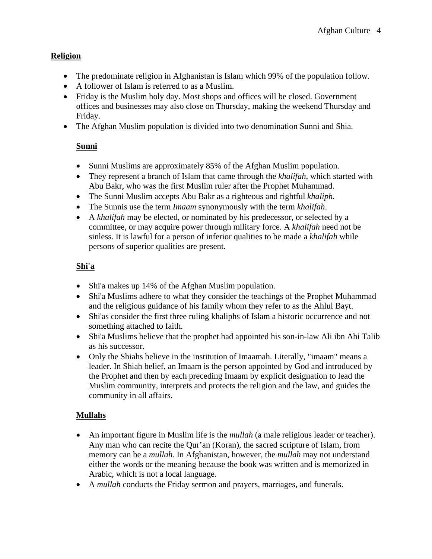## **Religion**

- The predominate religion in Afghanistan is Islam which 99% of the population follow.
- A follower of Islam is referred to as a Muslim.
- Friday is the Muslim holy day. Most shops and offices will be closed. Government offices and businesses may also close on Thursday, making the weekend Thursday and Friday.
- The Afghan Muslim population is divided into two denomination Sunni and Shia.

# **Sunni**

- Sunni Muslims are approximately 85% of the Afghan Muslim population.
- They represent a branch of Islam that came through the *khalifah*, which started with Abu Bakr, who was the first Muslim ruler after the Prophet Muhammad.
- The Sunni Muslim accepts Abu Bakr as a righteous and rightful *khaliph*.
- The Sunnis use the term *Imaam* synonymously with the term *khalifah*.
- A *khalifah* may be elected, or nominated by his predecessor, or selected by a committee, or may acquire power through military force. A *khalifah* need not be sinless. It is lawful for a person of inferior qualities to be made a *khalifah* while persons of superior qualities are present.

## **Shi'a**

- Shi'a makes up 14% of the Afghan Muslim population.
- Shi'a Muslims adhere to what they consider the teachings of the Prophet Muhammad and the religious guidance of his family whom they refer to as the Ahlul Bayt.
- Shi'as consider the first three ruling khaliphs of Islam a historic occurrence and not something attached to faith.
- Shi'a Muslims believe that the prophet had appointed his son-in-law Ali ibn Abi Talib as his successor.
- Only the Shiahs believe in the institution of Imaamah. Literally, "imaam" means a leader. In Shiah belief, an Imaam is the person appointed by God and introduced by the Prophet and then by each preceding Imaam by explicit designation to lead the Muslim community, interprets and protects the religion and the law, and guides the community in all affairs.

# **Mullahs**

- An important figure in Muslim life is the *mullah* (a male religious leader or teacher). Any man who can recite the Qur'an (Koran), the sacred scripture of Islam, from memory can be a *mullah*. In Afghanistan, however, the *mullah* may not understand either the words or the meaning because the book was written and is memorized in Arabic, which is not a local language.
- A *mullah* conducts the Friday sermon and prayers, marriages, and funerals.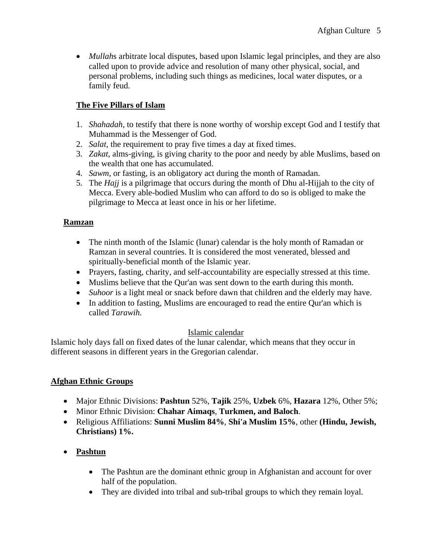• *Mullahs* arbitrate local disputes, based upon Islamic legal principles, and they are also called upon to provide advice and resolution of many other physical, social, and personal problems, including such things as medicines, local water disputes, or a family feud.

# **The Five Pillars of Islam**

- 1. *Shahadah*, to testify that there is none worthy of worship except God and I testify that Muhammad is the Messenger of God.
- 2. *Salat*, the requirement to pray five times a day at fixed times.
- 3. *Zakat*, alms-giving, is giving charity to the poor and needy by able Muslims, based on the wealth that one has accumulated.
- 4. *Sawm*, or fasting, is an obligatory act during the month of Ramadan.
- 5. The *Hajj* is a pilgrimage that occurs during the month of Dhu al-Hijjah to the city of Mecca. Every able-bodied Muslim who can afford to do so is obliged to make the pilgrimage to Mecca at least once in his or her lifetime.

## **Ramzan**

- The ninth month of the Islamic (lunar) calendar is the holy month of Ramadan or Ramzan in several countries. It is considered the most venerated, blessed and spiritually-beneficial month of the Islamic year.
- Prayers, fasting, charity, and self-accountability are especially stressed at this time.
- Muslims believe that the Qur'an was sent down to the earth during this month.
- *Suhoor* is a light meal or snack before dawn that children and the elderly may have.
- In addition to fasting, Muslims are encouraged to read the entire Qur'an which is called *Tarawih.*

## Islamic calendar

Islamic holy days fall on fixed dates of the lunar calendar, which means that they occur in different seasons in different years in the Gregorian calendar.

## **Afghan Ethnic Groups**

- Major Ethnic Divisions: **Pashtun** 52%, **Tajik** 25%, **Uzbek** 6%, **Hazara** 12%, Other 5%;
- Minor Ethnic Division: **Chahar Aimaqs**, **Turkmen, and Baloch**.
- Religious Affiliations: **Sunni Muslim 84%**, **Shi'a Muslim 15%**, other **(Hindu, Jewish, Christians) 1%.**

# • **Pashtun**

- The Pashtun are the dominant ethnic group in Afghanistan and account for over half of the population.
- They are divided into tribal and sub-tribal groups to which they remain loyal.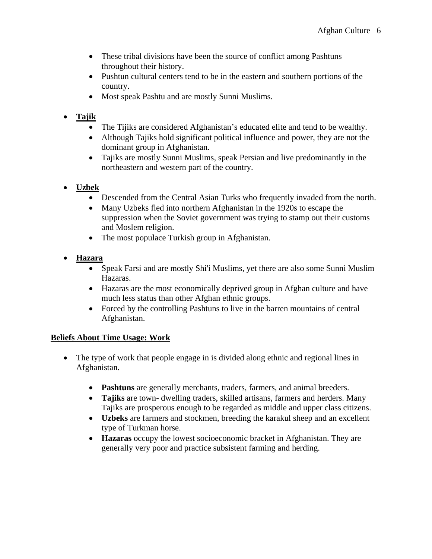- These tribal divisions have been the source of conflict among Pashtuns throughout their history.
- Pushtun cultural centers tend to be in the eastern and southern portions of the country.
- Most speak Pashtu and are mostly Sunni Muslims.

# • **Tajik**

- The Tijiks are considered Afghanistan's educated elite and tend to be wealthy.
- Although Tajiks hold significant political influence and power, they are not the dominant group in Afghanistan.
- Tajiks are mostly Sunni Muslims, speak Persian and live predominantly in the northeastern and western part of the country.
- **Uzbek** 
	- Descended from the Central Asian Turks who frequently invaded from the north.
	- Many Uzbeks fled into northern Afghanistan in the 1920s to escape the suppression when the Soviet government was trying to stamp out their customs and Moslem religion.
	- The most populace Turkish group in Afghanistan.
- **Hazara** 
	- Speak Farsi and are mostly Shi'i Muslims, yet there are also some Sunni Muslim Hazaras.
	- Hazaras are the most economically deprived group in Afghan culture and have much less status than other Afghan ethnic groups.
	- Forced by the controlling Pashtuns to live in the barren mountains of central Afghanistan.

# **Beliefs About Time Usage: Work**

- The type of work that people engage in is divided along ethnic and regional lines in Afghanistan.
	- **Pashtuns** are generally merchants, traders, farmers, and animal breeders.
	- **Tajiks** are town- dwelling traders, skilled artisans, farmers and herders. Many Tajiks are prosperous enough to be regarded as middle and upper class citizens.
	- **Uzbeks** are farmers and stockmen, breeding the karakul sheep and an excellent type of Turkman horse.
	- **Hazaras** occupy the lowest socioeconomic bracket in Afghanistan. They are generally very poor and practice subsistent farming and herding.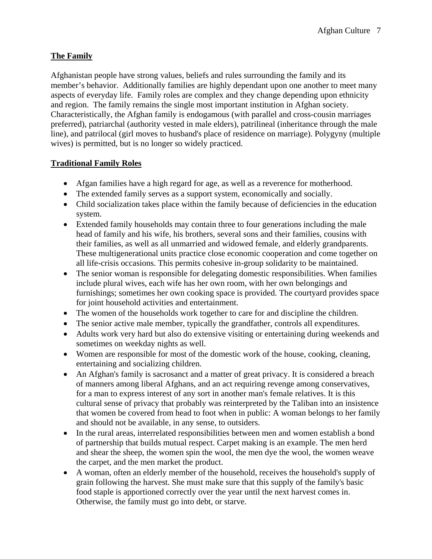## **The Family**

Afghanistan people have strong values, beliefs and rules surrounding the family and its member's behavior. Additionally families are highly dependant upon one another to meet many aspects of everyday life. Family roles are complex and they change depending upon ethnicity and region. The family remains the single most important institution in Afghan society. Characteristically, the Afghan family is endogamous (with parallel and cross-cousin marriages preferred), patriarchal (authority vested in male elders), patrilineal (inheritance through the male line), and patrilocal (girl moves to husband's place of residence on marriage). Polygyny (multiple wives) is permitted, but is no longer so widely practiced.

## **Traditional Family Roles**

- Afgan families have a high regard for age, as well as a reverence for motherhood.
- The extended family serves as a support system, economically and socially.
- Child socialization takes place within the family because of deficiencies in the education system.
- Extended family households may contain three to four generations including the male head of family and his wife, his brothers, several sons and their families, cousins with their families, as well as all unmarried and widowed female, and elderly grandparents. These multigenerational units practice close economic cooperation and come together on all life-crisis occasions. This permits cohesive in-group solidarity to be maintained.
- The senior woman is responsible for delegating domestic responsibilities. When families include plural wives, each wife has her own room, with her own belongings and furnishings; sometimes her own cooking space is provided. The courtyard provides space for joint household activities and entertainment.
- The women of the households work together to care for and discipline the children.
- The senior active male member, typically the grandfather, controls all expenditures.
- Adults work very hard but also do extensive visiting or entertaining during weekends and sometimes on weekday nights as well.
- Women are responsible for most of the domestic work of the house, cooking, cleaning, entertaining and socializing children.
- An Afghan's family is sacrosanct and a matter of great privacy. It is considered a breach of manners among liberal Afghans, and an act requiring revenge among conservatives, for a man to express interest of any sort in another man's female relatives. It is this cultural sense of privacy that probably was reinterpreted by the Taliban into an insistence that women be covered from head to foot when in public: A woman belongs to her family and should not be available, in any sense, to outsiders.
- In the rural areas, interrelated responsibilities between men and women establish a bond of partnership that builds mutual respect. Carpet making is an example. The men herd and shear the sheep, the women spin the wool, the men dye the wool, the women weave the carpet, and the men market the product.
- A woman, often an elderly member of the household, receives the household's supply of grain following the harvest. She must make sure that this supply of the family's basic food staple is apportioned correctly over the year until the next harvest comes in. Otherwise, the family must go into debt, or starve.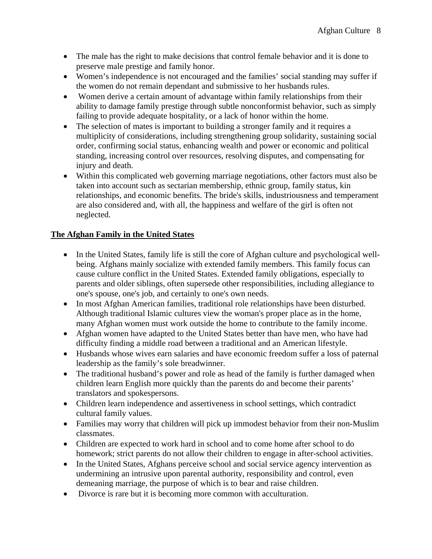- The male has the right to make decisions that control female behavior and it is done to preserve male prestige and family honor.
- Women's independence is not encouraged and the families' social standing may suffer if the women do not remain dependant and submissive to her husbands rules.
- Women derive a certain amount of advantage within family relationships from their ability to damage family prestige through subtle nonconformist behavior, such as simply failing to provide adequate hospitality, or a lack of honor within the home.
- The selection of mates is important to building a stronger family and it requires a multiplicity of considerations, including strengthening group solidarity, sustaining social order, confirming social status, enhancing wealth and power or economic and political standing, increasing control over resources, resolving disputes, and compensating for injury and death.
- Within this complicated web governing marriage negotiations, other factors must also be taken into account such as sectarian membership, ethnic group, family status, kin relationships, and economic benefits. The bride's skills, industriousness and temperament are also considered and, with all, the happiness and welfare of the girl is often not neglected.

## **The Afghan Family in the United States**

- In the United States, family life is still the core of Afghan culture and psychological wellbeing. Afghans mainly socialize with extended family members. This family focus can cause culture conflict in the United States. Extended family obligations, especially to parents and older siblings, often supersede other responsibilities, including allegiance to one's spouse, one's job, and certainly to one's own needs.
- In most Afghan American families, traditional role relationships have been disturbed. Although traditional Islamic cultures view the woman's proper place as in the home, many Afghan women must work outside the home to contribute to the family income.
- Afghan women have adapted to the United States better than have men, who have had difficulty finding a middle road between a traditional and an American lifestyle.
- Husbands whose wives earn salaries and have economic freedom suffer a loss of paternal leadership as the family's sole breadwinner.
- The traditional husband's power and role as head of the family is further damaged when children learn English more quickly than the parents do and become their parents' translators and spokespersons.
- Children learn independence and assertiveness in school settings, which contradict cultural family values.
- Families may worry that children will pick up immodest behavior from their non-Muslim classmates.
- Children are expected to work hard in school and to come home after school to do homework; strict parents do not allow their children to engage in after-school activities.
- In the United States, Afghans perceive school and social service agency intervention as undermining an intrusive upon parental authority, responsibility and control, even demeaning marriage, the purpose of which is to bear and raise children.
- Divorce is rare but it is becoming more common with acculturation.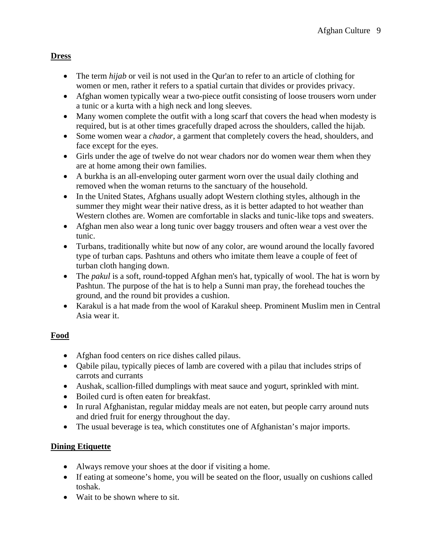## **Dress**

- The term *hijab* or veil is not used in the Qur'an to refer to an article of clothing for women or men, rather it refers to a spatial curtain that divides or provides privacy.
- Afghan women typically wear a two-piece outfit consisting of loose trousers worn under a tunic or a kurta with a high neck and long sleeves.
- Many women complete the outfit with a long scarf that covers the head when modesty is required, but is at other times gracefully draped across the shoulders, called the hijab*.*
- Some women wear a *chador*, a garment that completely covers the head, shoulders, and face except for the eyes.
- Girls under the age of twelve do not wear chadors nor do women wear them when they are at home among their own families.
- A burkha is an all-enveloping outer garment worn over the usual daily clothing and removed when the woman returns to the sanctuary of the household.
- In the United States, Afghans usually adopt Western clothing styles, although in the summer they might wear their native dress, as it is better adapted to hot weather than Western clothes are. Women are comfortable in slacks and tunic-like tops and sweaters.
- Afghan men also wear a long tunic over baggy trousers and often wear a vest over the tunic.
- Turbans, traditionally white but now of any color, are wound around the locally favored type of turban caps. Pashtuns and others who imitate them leave a couple of feet of turban cloth hanging down.
- The *pakul* is a soft, round-topped Afghan men's hat, typically of wool. The hat is worn by Pashtun. The purpose of the hat is to help a Sunni man pray, the forehead touches the ground, and the round bit provides a cushion.
- Karakul is a hat made from the wool of Karakul sheep. Prominent Muslim men in Central Asia wear it.

# **Food**

- Afghan food centers on rice dishes called pilaus.
- Qabile pilau, typically pieces of lamb are covered with a pilau that includes strips of carrots and currants
- Aushak, scallion-filled dumplings with meat sauce and yogurt, sprinkled with mint.
- Boiled curd is often eaten for breakfast.
- In rural Afghanistan, regular midday meals are not eaten, but people carry around nuts and dried fruit for energy throughout the day.
- The usual beverage is tea, which constitutes one of Afghanistan's major imports.

# **Dining Etiquette**

- Always remove your shoes at the door if visiting a home.
- If eating at someone's home, you will be seated on the floor, usually on cushions called toshak.
- Wait to be shown where to sit.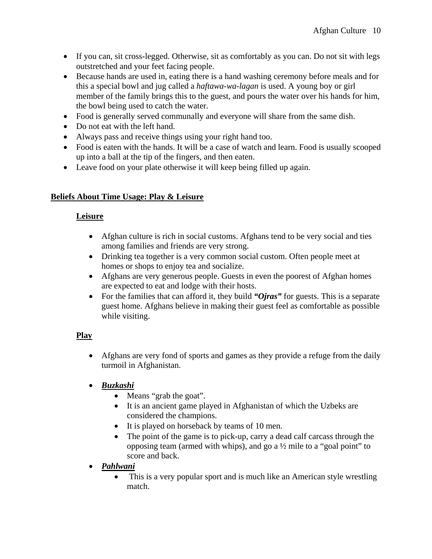- If you can, sit cross-legged. Otherwise, sit as comfortably as you can. Do not sit with legs outstretched and your feet facing people.
- Because hands are used in, eating there is a hand washing ceremony before meals and for this a special bowl and jug called a *haftawa-wa-lagan* is used. A young boy or girl member of the family brings this to the guest, and pours the water over his hands for him, the bowl being used to catch the water.
- Food is generally served communally and everyone will share from the same dish.
- Do not eat with the left hand.
- Always pass and receive things using your right hand too.
- Food is eaten with the hands. It will be a case of watch and learn. Food is usually scooped up into a ball at the tip of the fingers, and then eaten.
- Leave food on your plate otherwise it will keep being filled up again.

## **Beliefs About Time Usage: Play & Leisure**

## **Leisure**

- Afghan culture is rich in social customs. Afghans tend to be very social and ties among families and friends are very strong.
- Drinking tea together is a very common social custom. Often people meet at homes or shops to enjoy tea and socialize.
- Afghans are very generous people. Guests in even the poorest of Afghan homes are expected to eat and lodge with their hosts.
- For the families that can afford it, they build *"Ojras*" for guests. This is a separate guest home. Afghans believe in making their guest feel as comfortable as possible while visiting.

# **Play**

- Afghans are very fond of sports and games as they provide a refuge from the daily turmoil in Afghanistan.
- *Buzkashi*
	- Means "grab the goat".
	- It is an ancient game played in Afghanistan of which the Uzbeks are considered the champions.
	- It is played on horseback by teams of 10 men.
	- The point of the game is to pick-up, carry a dead calf carcass through the opposing team (armed with whips), and go a ½ mile to a "goal point" to score and back.
- *Pahlwani* 
	- This is a very popular sport and is much like an American style wrestling match.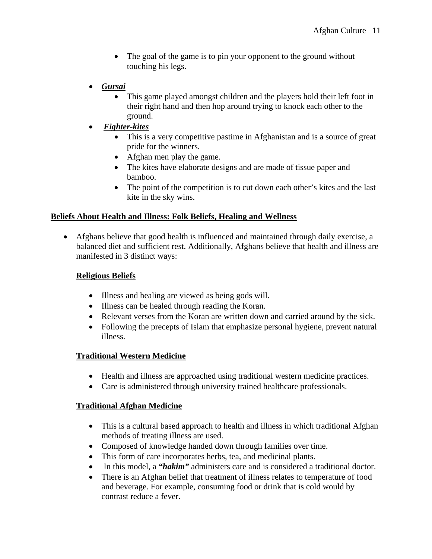- The goal of the game is to pin your opponent to the ground without touching his legs.
- *Gursai*
	- This game played amongst children and the players hold their left foot in their right hand and then hop around trying to knock each other to the ground.
- *Fighter-kites*
	- This is a very competitive pastime in Afghanistan and is a source of great pride for the winners.
	- Afghan men play the game.
	- The kites have elaborate designs and are made of tissue paper and bamboo.
	- The point of the competition is to cut down each other's kites and the last kite in the sky wins.

#### **Beliefs About Health and Illness: Folk Beliefs, Healing and Wellness**

• Afghans believe that good health is influenced and maintained through daily exercise, a balanced diet and sufficient rest. Additionally, Afghans believe that health and illness are manifested in 3 distinct ways:

#### **Religious Beliefs**

- Illness and healing are viewed as being gods will.
- Illness can be healed through reading the Koran.
- Relevant verses from the Koran are written down and carried around by the sick.
- Following the precepts of Islam that emphasize personal hygiene, prevent natural illness.

#### **Traditional Western Medicine**

- Health and illness are approached using traditional western medicine practices.
- Care is administered through university trained healthcare professionals.

#### **Traditional Afghan Medicine**

- This is a cultural based approach to health and illness in which traditional Afghan methods of treating illness are used.
- Composed of knowledge handed down through families over time.
- This form of care incorporates herbs, tea, and medicinal plants.
- In this model, a *"hakim"* administers care and is considered a traditional doctor.
- There is an Afghan belief that treatment of illness relates to temperature of food and beverage. For example, consuming food or drink that is cold would by contrast reduce a fever.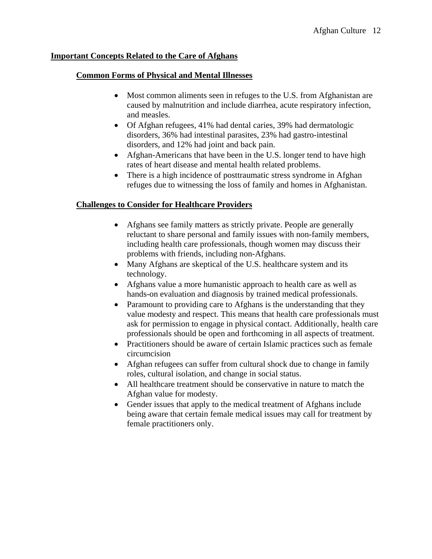#### **Important Concepts Related to the Care of Afghans**

#### **Common Forms of Physical and Mental Illnesses**

- Most common aliments seen in refuges to the U.S. from Afghanistan are caused by malnutrition and include diarrhea, acute respiratory infection, and measles.
- Of Afghan refugees, 41% had dental caries, 39% had dermatologic disorders, 36% had intestinal parasites, 23% had gastro-intestinal disorders, and 12% had joint and back pain.
- Afghan-Americans that have been in the U.S. longer tend to have high rates of heart disease and mental health related problems.
- There is a high incidence of posttraumatic stress syndrome in Afghan refuges due to witnessing the loss of family and homes in Afghanistan.

#### **Challenges to Consider for Healthcare Providers**

- Afghans see family matters as strictly private. People are generally reluctant to share personal and family issues with non-family members, including health care professionals, though women may discuss their problems with friends, including non-Afghans.
- Many Afghans are skeptical of the U.S. healthcare system and its technology.
- Afghans value a more humanistic approach to health care as well as hands-on evaluation and diagnosis by trained medical professionals.
- Paramount to providing care to Afghans is the understanding that they value modesty and respect. This means that health care professionals must ask for permission to engage in physical contact. Additionally, health care professionals should be open and forthcoming in all aspects of treatment.
- Practitioners should be aware of certain Islamic practices such as female circumcision
- Afghan refugees can suffer from cultural shock due to change in family roles, cultural isolation, and change in social status.
- All healthcare treatment should be conservative in nature to match the Afghan value for modesty.
- Gender issues that apply to the medical treatment of Afghans include being aware that certain female medical issues may call for treatment by female practitioners only.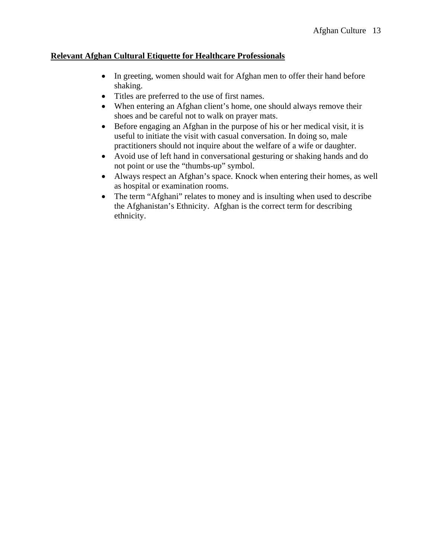## **Relevant Afghan Cultural Etiquette for Healthcare Professionals**

- In greeting, women should wait for Afghan men to offer their hand before shaking.
- Titles are preferred to the use of first names.
- When entering an Afghan client's home, one should always remove their shoes and be careful not to walk on prayer mats.
- Before engaging an Afghan in the purpose of his or her medical visit, it is useful to initiate the visit with casual conversation. In doing so, male practitioners should not inquire about the welfare of a wife or daughter.
- Avoid use of left hand in conversational gesturing or shaking hands and do not point or use the "thumbs-up" symbol.
- Always respect an Afghan's space. Knock when entering their homes, as well as hospital or examination rooms.
- The term "Afghani" relates to money and is insulting when used to describe the Afghanistan's Ethnicity. Afghan is the correct term for describing ethnicity.